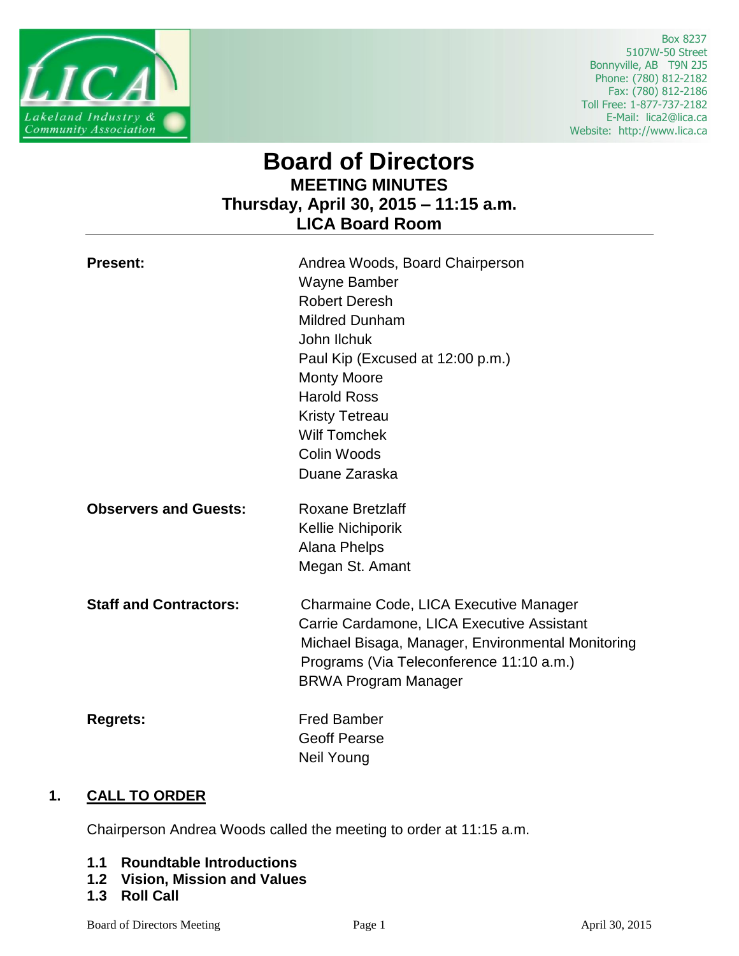

 Box 8237 5107W-50 Street Bonnyville, AB T9N 2J5 Phone: (780) 812-2182 Fax: (780) 812-2186 Toll Free: 1-877-737-2182 E-Mail: lica2@lica.ca Website: http://www.lica.ca

# **Board of Directors MEETING MINUTES Thursday, April 30, 2015 – 11:15 a.m. LICA Board Room**

| <b>Present:</b>               | Andrea Woods, Board Chairperson<br>Wayne Bamber<br><b>Robert Deresh</b><br><b>Mildred Dunham</b><br>John Ilchuk<br>Paul Kip (Excused at 12:00 p.m.)<br><b>Monty Moore</b><br><b>Harold Ross</b><br><b>Kristy Tetreau</b><br><b>Wilf Tomchek</b><br>Colin Woods<br>Duane Zaraska |
|-------------------------------|---------------------------------------------------------------------------------------------------------------------------------------------------------------------------------------------------------------------------------------------------------------------------------|
| <b>Observers and Guests:</b>  | <b>Roxane Bretzlaff</b><br>Kellie Nichiporik<br><b>Alana Phelps</b><br>Megan St. Amant                                                                                                                                                                                          |
| <b>Staff and Contractors:</b> | Charmaine Code, LICA Executive Manager<br>Carrie Cardamone, LICA Executive Assistant<br>Michael Bisaga, Manager, Environmental Monitoring<br>Programs (Via Teleconference 11:10 a.m.)<br><b>BRWA Program Manager</b>                                                            |
| <b>Regrets:</b>               | <b>Fred Bamber</b><br><b>Geoff Pearse</b><br><b>Neil Young</b>                                                                                                                                                                                                                  |

# **1. CALL TO ORDER**

Chairperson Andrea Woods called the meeting to order at 11:15 a.m.

- **1.1 Roundtable Introductions**
- **1.2 Vision, Mission and Values**
- **1.3 Roll Call**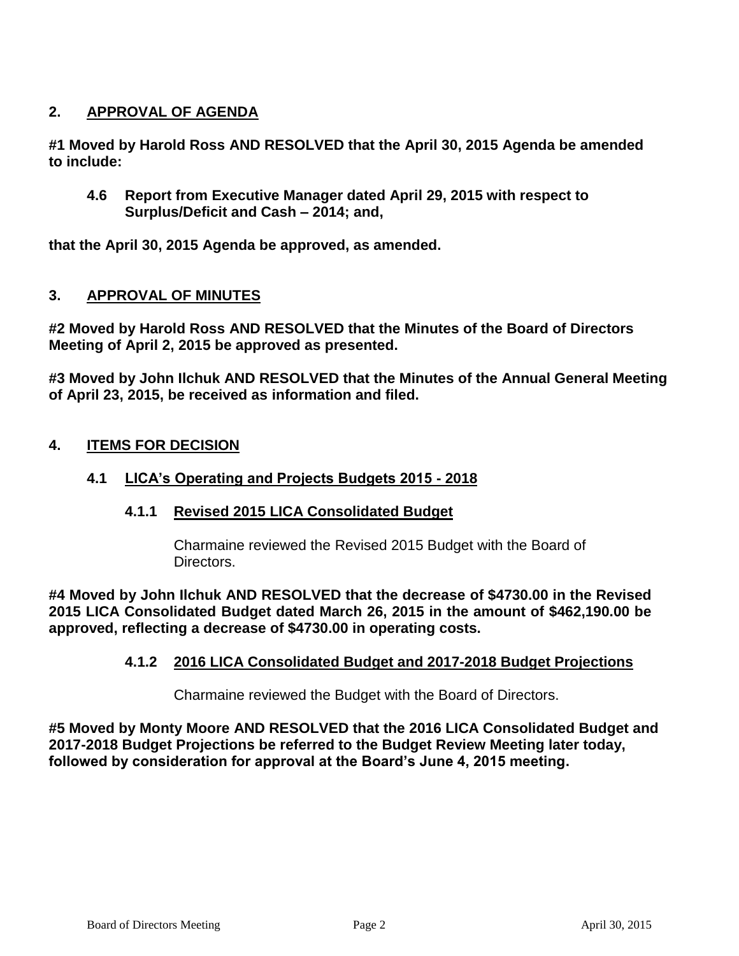# **2. APPROVAL OF AGENDA**

**#1 Moved by Harold Ross AND RESOLVED that the April 30, 2015 Agenda be amended to include:**

**4.6 Report from Executive Manager dated April 29, 2015 with respect to Surplus/Deficit and Cash – 2014; and,**

**that the April 30, 2015 Agenda be approved, as amended.**

## **3. APPROVAL OF MINUTES**

**#2 Moved by Harold Ross AND RESOLVED that the Minutes of the Board of Directors Meeting of April 2, 2015 be approved as presented.**

**#3 Moved by John Ilchuk AND RESOLVED that the Minutes of the Annual General Meeting of April 23, 2015, be received as information and filed.**

## **4. ITEMS FOR DECISION**

## **4.1 LICA's Operating and Projects Budgets 2015 - 2018**

#### **4.1.1 Revised 2015 LICA Consolidated Budget**

Charmaine reviewed the Revised 2015 Budget with the Board of Directors.

**#4 Moved by John Ilchuk AND RESOLVED that the decrease of \$4730.00 in the Revised 2015 LICA Consolidated Budget dated March 26, 2015 in the amount of \$462,190.00 be approved, reflecting a decrease of \$4730.00 in operating costs.**

#### **4.1.2 2016 LICA Consolidated Budget and 2017-2018 Budget Projections**

Charmaine reviewed the Budget with the Board of Directors.

**#5 Moved by Monty Moore AND RESOLVED that the 2016 LICA Consolidated Budget and 2017-2018 Budget Projections be referred to the Budget Review Meeting later today, followed by consideration for approval at the Board's June 4, 2015 meeting.**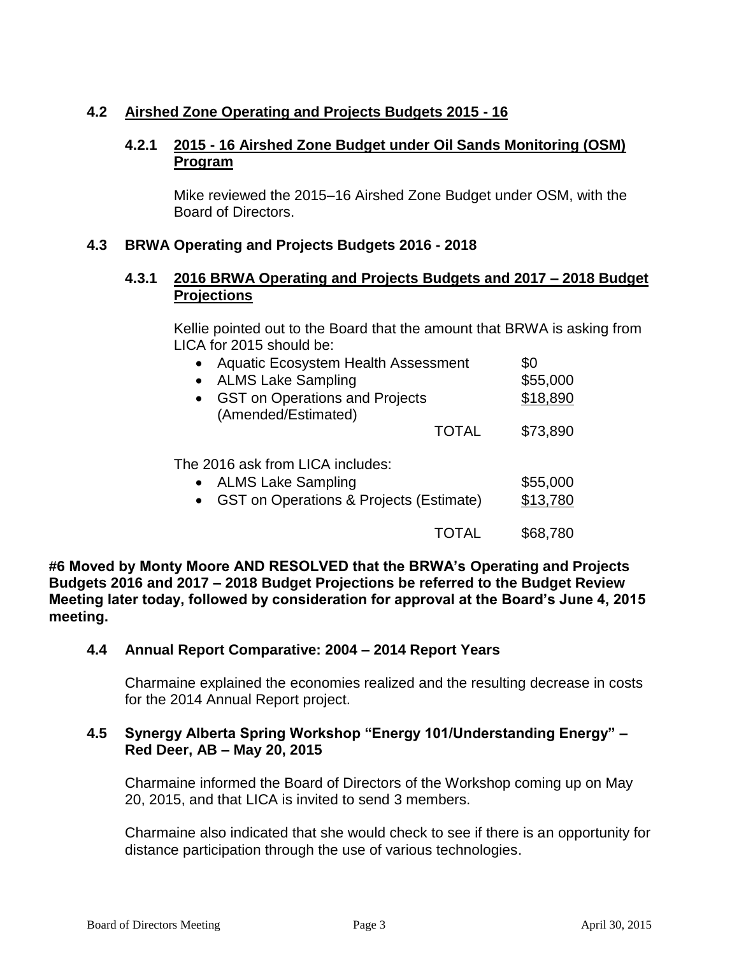# **4.2 Airshed Zone Operating and Projects Budgets 2015 - 16**

#### **4.2.1 2015 - 16 Airshed Zone Budget under Oil Sands Monitoring (OSM) Program**

Mike reviewed the 2015–16 Airshed Zone Budget under OSM, with the Board of Directors.

#### **4.3 BRWA Operating and Projects Budgets 2016 - 2018**

## **4.3.1 2016 BRWA Operating and Projects Budgets and 2017 – 2018 Budget Projections**

Kellie pointed out to the Board that the amount that BRWA is asking from LICA for 2015 should be:

| <b>Aquatic Ecosystem Health Assessment</b><br><b>ALMS Lake Sampling</b><br>$\bullet$<br><b>GST on Operations and Projects</b><br>$\bullet$<br>(Amended/Estimated) | \$0<br>\$55,000<br>\$18,890 |
|-------------------------------------------------------------------------------------------------------------------------------------------------------------------|-----------------------------|
| <b>TOTAL</b>                                                                                                                                                      | \$73,890                    |
| The 2016 ask from LICA includes:<br><b>ALMS Lake Sampling</b><br>$\bullet$<br><b>GST on Operations &amp; Projects (Estimate)</b>                                  | \$55,000<br>\$13,780        |
|                                                                                                                                                                   | \$68.780                    |

**#6 Moved by Monty Moore AND RESOLVED that the BRWA's Operating and Projects Budgets 2016 and 2017 – 2018 Budget Projections be referred to the Budget Review Meeting later today, followed by consideration for approval at the Board's June 4, 2015 meeting.**

#### **4.4 Annual Report Comparative: 2004 – 2014 Report Years**

Charmaine explained the economies realized and the resulting decrease in costs for the 2014 Annual Report project.

## **4.5 Synergy Alberta Spring Workshop "Energy 101/Understanding Energy" – Red Deer, AB – May 20, 2015**

Charmaine informed the Board of Directors of the Workshop coming up on May 20, 2015, and that LICA is invited to send 3 members.

Charmaine also indicated that she would check to see if there is an opportunity for distance participation through the use of various technologies.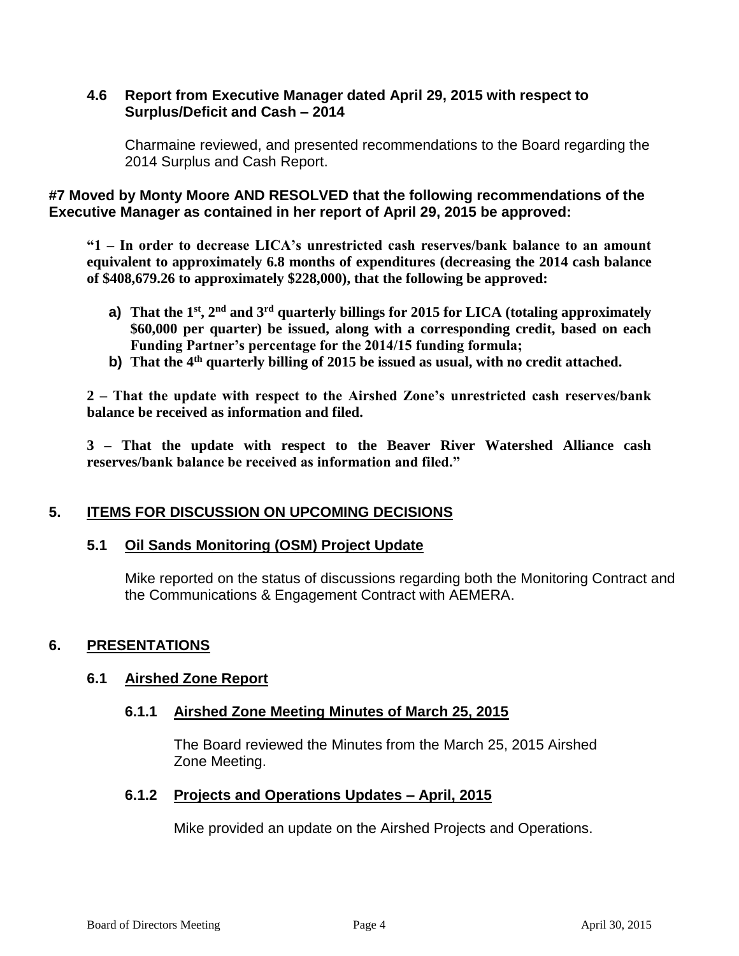#### **4.6 Report from Executive Manager dated April 29, 2015 with respect to Surplus/Deficit and Cash – 2014**

Charmaine reviewed, and presented recommendations to the Board regarding the 2014 Surplus and Cash Report.

**#7 Moved by Monty Moore AND RESOLVED that the following recommendations of the Executive Manager as contained in her report of April 29, 2015 be approved:**

**"1 – In order to decrease LICA's unrestricted cash reserves/bank balance to an amount equivalent to approximately 6.8 months of expenditures (decreasing the 2014 cash balance of \$408,679.26 to approximately \$228,000), that the following be approved:** 

- **a) That the 1st, 2nd and 3rd quarterly billings for 2015 for LICA (totaling approximately \$60,000 per quarter) be issued, along with a corresponding credit, based on each Funding Partner's percentage for the 2014/15 funding formula;**
- **b) That the 4th quarterly billing of 2015 be issued as usual, with no credit attached.**

**2 – That the update with respect to the Airshed Zone's unrestricted cash reserves/bank balance be received as information and filed.** 

**3 – That the update with respect to the Beaver River Watershed Alliance cash reserves/bank balance be received as information and filed."**

# **5. ITEMS FOR DISCUSSION ON UPCOMING DECISIONS**

#### **5.1 Oil Sands Monitoring (OSM) Project Update**

Mike reported on the status of discussions regarding both the Monitoring Contract and the Communications & Engagement Contract with AEMERA.

# **6. PRESENTATIONS**

#### **6.1 Airshed Zone Report**

#### **6.1.1 Airshed Zone Meeting Minutes of March 25, 2015**

The Board reviewed the Minutes from the March 25, 2015 Airshed Zone Meeting.

#### **6.1.2 Projects and Operations Updates – April, 2015**

Mike provided an update on the Airshed Projects and Operations.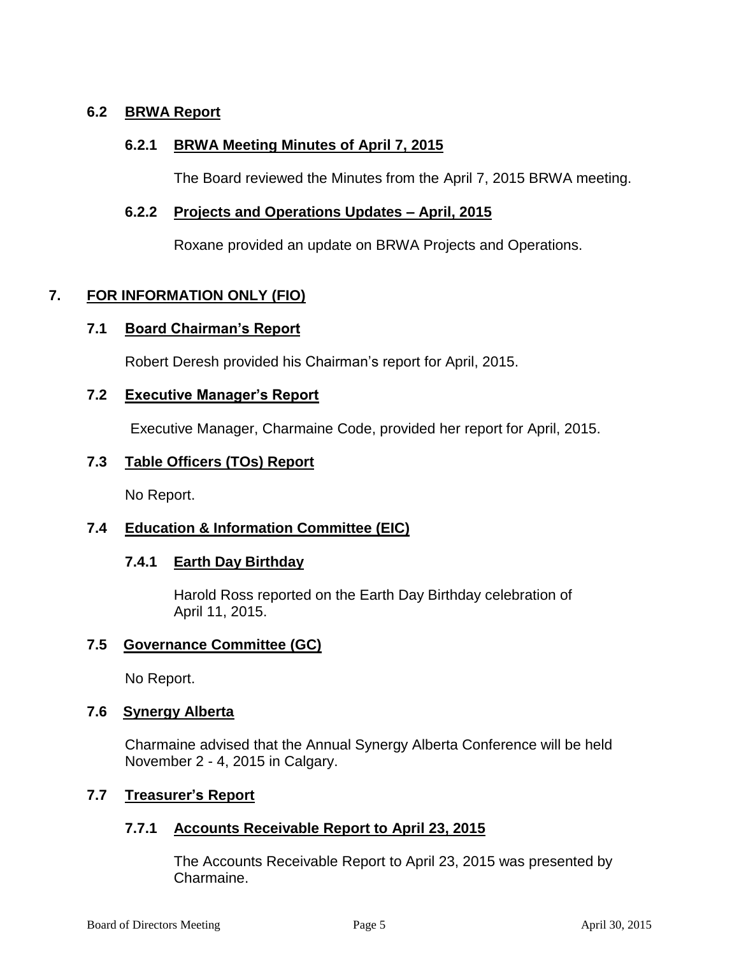# **6.2 BRWA Report**

## **6.2.1 BRWA Meeting Minutes of April 7, 2015**

The Board reviewed the Minutes from the April 7, 2015 BRWA meeting.

#### **6.2.2 Projects and Operations Updates – April, 2015**

Roxane provided an update on BRWA Projects and Operations.

## **7. FOR INFORMATION ONLY (FIO)**

#### **7.1 Board Chairman's Report**

Robert Deresh provided his Chairman's report for April, 2015.

#### **7.2 Executive Manager's Report**

Executive Manager, Charmaine Code, provided her report for April, 2015.

#### **7.3 Table Officers (TOs) Report**

No Report.

# **7.4 Education & Information Committee (EIC)**

#### **7.4.1 Earth Day Birthday**

Harold Ross reported on the Earth Day Birthday celebration of April 11, 2015.

# **7.5 Governance Committee (GC)**

No Report.

#### **7.6 Synergy Alberta**

Charmaine advised that the Annual Synergy Alberta Conference will be held November 2 - 4, 2015 in Calgary.

# **7.7 Treasurer's Report**

#### **7.7.1 Accounts Receivable Report to April 23, 2015**

The Accounts Receivable Report to April 23, 2015 was presented by Charmaine.